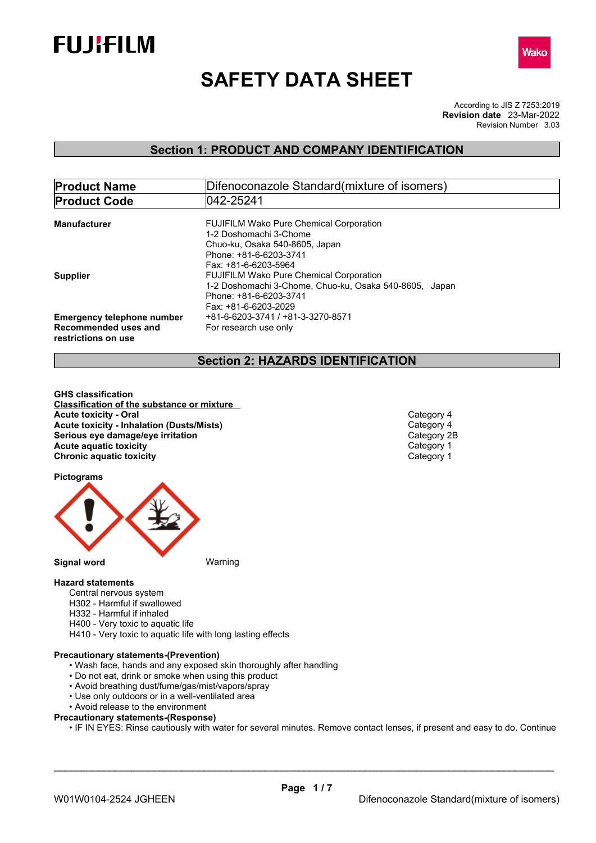



# **SAFETY DATA SHEET**

According to JIS Z 7253:2019 Revision Number 3.03 **Revision date** 23-Mar-2022

### **Section 1: PRODUCT AND COMPANY IDENTIFICATION**

| <b>Product Name</b>               | Difenoconazole Standard (mixture of isomers)           |  |  |  |
|-----------------------------------|--------------------------------------------------------|--|--|--|
| <b>Product Code</b>               | 1042-25241                                             |  |  |  |
|                                   |                                                        |  |  |  |
| <b>Manufacturer</b>               | <b>FUJIFILM Wako Pure Chemical Corporation</b>         |  |  |  |
|                                   | 1-2 Doshomachi 3-Chome                                 |  |  |  |
|                                   | Chuo-ku, Osaka 540-8605, Japan                         |  |  |  |
|                                   | Phone: +81-6-6203-3741                                 |  |  |  |
|                                   | Fax: +81-6-6203-5964                                   |  |  |  |
| <b>Supplier</b>                   | <b>FUJIFILM Wako Pure Chemical Corporation</b>         |  |  |  |
|                                   | 1-2 Doshomachi 3-Chome, Chuo-ku, Osaka 540-8605, Japan |  |  |  |
|                                   | Phone: +81-6-6203-3741                                 |  |  |  |
|                                   | Fax: +81-6-6203-2029                                   |  |  |  |
| <b>Emergency telephone number</b> | +81-6-6203-3741 / +81-3-3270-8571                      |  |  |  |
| Recommended uses and              | For research use only                                  |  |  |  |
| restrictions on use               |                                                        |  |  |  |
|                                   |                                                        |  |  |  |

### **Section 2: HAZARDS IDENTIFICATION**

**GHS classification Classification of the substance or mixture Acute toxicity - Oral** Category 4<br> **Acute toxicity - Inhalation (Dusts/Mists)**<br>
Category 4 **Acute toxicity - Inhalation (Dusts/Mists)** Category 4 **Serious** eye damage/eye irritation **Acute aquatic toxicity**<br> **Category 1**<br> **Chronic aquatic toxicity**<br> **Category 1 Chronic aquatic toxicity** 

**Pictograms**



### **Hazard statements**

- Central nervous system
- H302 Harmful if swallowed
- H332 Harmful if inhaled
- H400 Very toxic to aquatic life
- H410 Very toxic to aquatic life with long lasting effects

#### **Precautionary statements-(Prevention)**

- Wash face, hands and any exposed skin thoroughly after handling
- Do not eat, drink or smoke when using this product
- Avoid breathing dust/fume/gas/mist/vapors/spray
- Use only outdoors or in a well-ventilated area
- Avoid release to the environment
- **Precautionary statements-(Response)**

• IF IN EYES: Rinse cautiously with water for several minutes. Remove contact lenses, if present and easy to do. Continue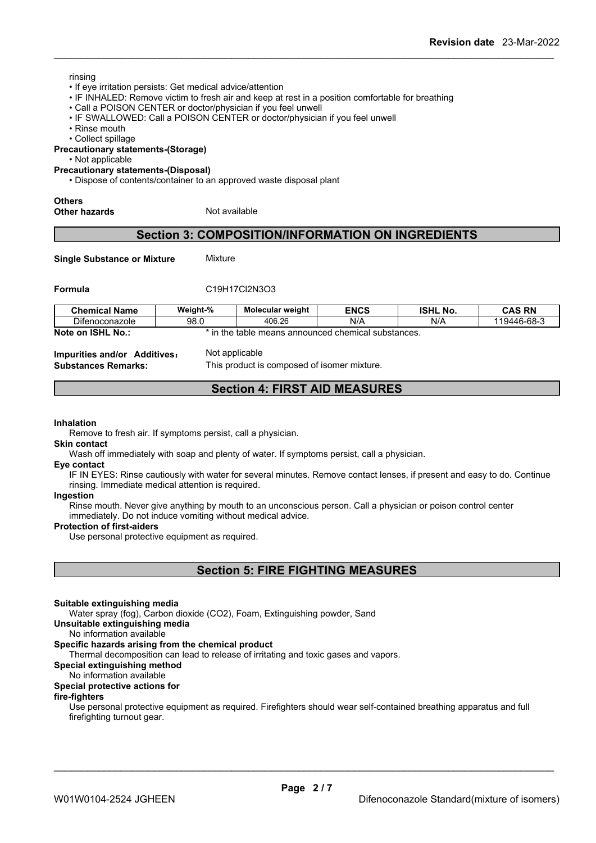#### rinsing

- If eye irritation persists: Get medical advice/attention
- IF INHALED: Remove victim to fresh air and keep at rest in a position comfortable for breathing
- Call a POISON CENTER or doctor/physician if you feel unwell
- IF SWALLOWED: Call a POISON CENTER or doctor/physician if you feel unwell
- Rinse mouth

• Collect spillage

#### **Precautionary statements-(Storage)**

• Not applicable

#### **Precautionary statements-(Disposal)**

• Dispose of contents/container to an approved waste disposal plant

#### **Others**

**Other hazards** Not available

### **Section 3: COMPOSITION/INFORMATION ON INGREDIENTS**

**Single Substance or Mixture** Mixture

#### **Formula** C19H17Cl2N3O3

| <b>Chemical Name</b>            | Weight-% | Molecular weight            | <b>ENCS</b>            | <b>ISHL</b><br>No. | <b>CAS RN</b> |
|---------------------------------|----------|-----------------------------|------------------------|--------------------|---------------|
| $\sim$ $\sim$<br>Difenoconazole | 98.0     | 406.26                      | N/A                    | N/A                | 119446-68-3   |
| <b>ISHL No.:</b><br>Note on     | ⊺in the  | `announced<br>: table means | d chemical substances. |                    |               |

**Impurities and/or Additives**: Not applicable

**Substances Remarks:** This product is composed of isomer mixture.

### **Section 4: FIRST AID MEASURES**

#### **Inhalation**

Remove to fresh air. If symptoms persist, call a physician.

#### **Skin contact**

Wash off immediately with soap and plenty of water. If symptoms persist, call a physician.

#### **Eye contact**

IF IN EYES: Rinse cautiously with water for several minutes. Remove contact lenses, if present and easy to do. Continue rinsing. Immediate medical attention is required.

### **Ingestion**

Rinse mouth. Never give anything by mouth to an unconscious person. Call a physician or poison control center immediately. Do not induce vomiting without medical advice.

#### **Protection of first-aiders**

Use personal protective equipment as required.

### **Section 5: FIRE FIGHTING MEASURES**

#### **Suitable extinguishing media**

Water spray (fog), Carbon dioxide (CO2), Foam, Extinguishing powder, Sand

**Unsuitable extinguishing media**

No information available

#### **Specific hazards arising from the chemical product**

Thermal decomposition can lead to release of irritating and toxic gases and vapors.

**Special extinguishing method**

### No information available

### **Special protective actions for**

#### **fire-fighters**

Use personal protective equipment as required.Firefighters should wear self-contained breathing apparatus and full firefighting turnout gear.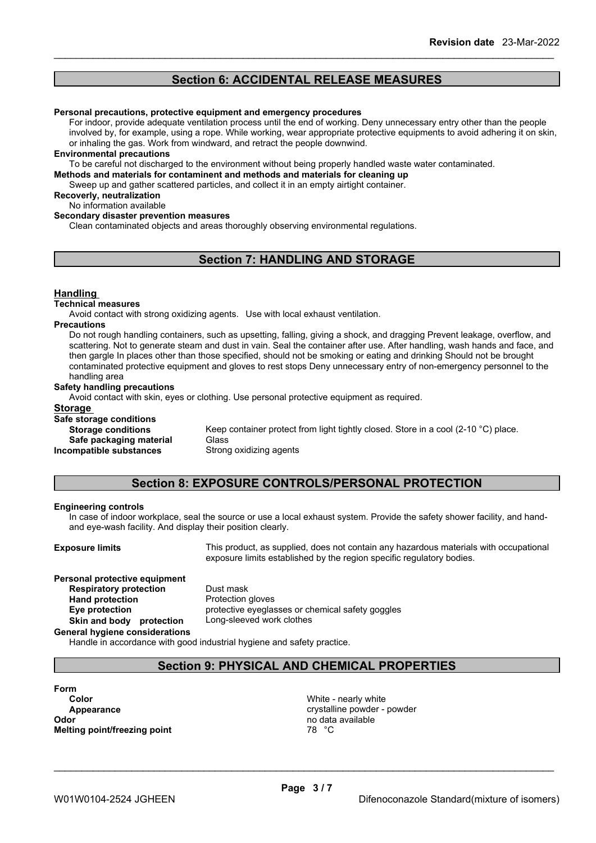### **Section 6: ACCIDENTAL RELEASE MEASURES**

#### **Personal precautions, protective equipment and emergency procedures**

For indoor, provide adequate ventilation process until the end of working. Deny unnecessary entry other than the people involved by, for example, using a rope. While working, wear appropriate protective equipments to avoid adhering it on skin, or inhaling the gas. Work from windward, and retract the people downwind.

#### **Environmental precautions**

To be careful not discharged to the environment without being properly handled waste water contaminated.

**Methods and materials for contaminent and methods and materials for cleaning up**

Sweep up and gather scattered particles, and collect it in an empty airtight container.

### **Recoverly, neutralization**

No information available

#### **Secondary disaster prevention measures**

Clean contaminated objects and areas thoroughly observing environmental regulations.

### **Section 7: HANDLING AND STORAGE**

#### **Handling**

#### **Technical measures**

Avoid contact with strong oxidizing agents. Use with local exhaust ventilation.

#### **Precautions**

Do not rough handling containers, such as upsetting, falling, giving a shock, and dragging Prevent leakage, overflow, and scattering. Not to generate steam and dust in vain. Seal the container after use. After handling, wash hands and face, and then gargle In places other than those specified, should not be smoking or eating and drinking Should not be brought contaminated protective equipment and gloves to rest stops Deny unnecessary entry of non-emergency personnel to the handling area

#### **Safety handling precautions**

Avoid contact with skin, eyes or clothing. Use personal protective equipment as required.

#### **Storage**

#### **Safe storage conditions**

**Storage conditions** Keep container protect from light tightly closed. Store in a cool (2-10 °C) place.

**Safe packaging material** Glass

**Incompatible substances** Strong oxidizing agents

### **Section 8: EXPOSURE CONTROLS/PERSONAL PROTECTION**

#### **Engineering controls**

In case of indoor workplace, seal the source or use a local exhaust system. Provide the safety shower facility, and handand eye-wash facility. And display their position clearly.

**Exposure limits** This product, as supplied, does not contain any hazardous materials with occupational exposure limits established by the region specific regulatory bodies.

### **Personal protective equipment**<br>**Respiratory protection** Dust mask **Respiratory protection** Dust mask<br> **Hand protection**<br> **Protection Hand** protection

**Eye protection** protective eyeglasses or chemical safety goggles **Skin and body protection** Long-sleeved work clothes

#### **General hygiene considerations**

Handle in accordance with good industrial hygiene and safety practice.

### **Section 9: PHYSICAL AND CHEMICAL PROPERTIES**

### **Form Color** Color Color Color Color Color Color Color Color Color Color Color Color Color Color Color Color Color Color<br>  $\Delta$  Color Color Color Color Color Color Color Color Color Color Color Color Color Color Color Color Colo **Odor Odor** no data available **no data available no data available no data available no data available no data available no data available no data available no data available no data available no data a Melting point/freezing point**

crystalline powder - powder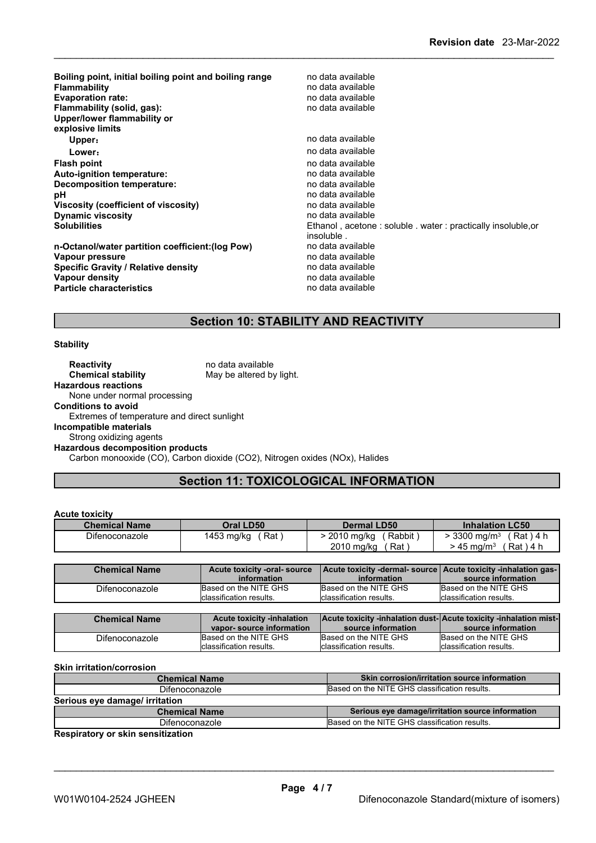| Boiling point, initial boiling point and boiling range<br><b>Flammability</b><br><b>Evaporation rate:</b><br>Flammability (solid, gas):<br>Upper/lower flammability or<br>explosive limits | no data available<br>no data available<br>no data available<br>no data available |
|--------------------------------------------------------------------------------------------------------------------------------------------------------------------------------------------|----------------------------------------------------------------------------------|
| Upper:                                                                                                                                                                                     | no data available                                                                |
| Lower:                                                                                                                                                                                     | no data available                                                                |
| <b>Flash point</b>                                                                                                                                                                         | no data available                                                                |
| Auto-ignition temperature:                                                                                                                                                                 | no data available                                                                |
| <b>Decomposition temperature:</b>                                                                                                                                                          | no data available                                                                |
| рH                                                                                                                                                                                         | no data available                                                                |
| Viscosity (coefficient of viscosity)                                                                                                                                                       | no data available                                                                |
| <b>Dynamic viscosity</b>                                                                                                                                                                   | no data available                                                                |
| <b>Solubilities</b>                                                                                                                                                                        | Ethanol, acetone: soluble, water: practically insoluble.or                       |
|                                                                                                                                                                                            | insoluble.                                                                       |
| n-Octanol/water partition coefficient: (log Pow)                                                                                                                                           | no data available                                                                |
| Vapour pressure                                                                                                                                                                            | no data available                                                                |
| <b>Specific Gravity / Relative density</b>                                                                                                                                                 | no data available                                                                |
| Vapour density                                                                                                                                                                             | no data available                                                                |
| <b>Particle characteristics</b>                                                                                                                                                            | no data available                                                                |

## **Section 10: STABILITY AND REACTIVITY**

#### **Stability**

**Reactivity** no data available<br> **Chemical stability** May be altered by May be altered by light. **Hazardous reactions** None under normal processing **Conditions to avoid** Extremes of temperature and direct sunlight **Incompatible materials** Strong oxidizing agents **Hazardous decomposition products** Carbon monooxide (CO), Carbon dioxide (CO2), Nitrogen oxides (NOx), Halides

### **Section 11: TOXICOLOGICAL INFORMATION**

#### **Acute toxicity**

| UNAN MANULI          |                   |                        |                                     |
|----------------------|-------------------|------------------------|-------------------------------------|
| <b>Chemical Name</b> | Oral LD50         | <b>Dermal LD50</b>     | <b>Inhalation LC50</b>              |
| Difenoconazole       | Rat<br>1453 mg/kg | Rabbit<br>$2010$ mg/kg | $\cdot$ 3300 ma/m $^3$<br>Rat ) 4 h |
|                      |                   | 2010 mg/kg<br>Rat,     | $Rat$ ) 4 h<br>• 45 ma/m $^{\rm 3}$ |

| <b>Chemical Name</b> | Acute toxicity -oral-source<br>information | information             | Acute toxicity -dermal-source Acute toxicity -inhalation gas-<br>source information |
|----------------------|--------------------------------------------|-------------------------|-------------------------------------------------------------------------------------|
| Difenoconazole       | Based on the NITE GHS                      | Based on the NITE GHS   | Based on the NITE GHS                                                               |
|                      | classification results.                    | classification results. | Iclassification results.                                                            |

| <b>Chemical Name</b> | <b>Acute toxicity -inhalation</b> | Acute toxicity -inhalation dust-  Acute toxicity -inhalation mist- |                          |
|----------------------|-----------------------------------|--------------------------------------------------------------------|--------------------------|
|                      | vapor-source information          | source information                                                 | source information       |
| Difenoconazole       | Based on the NITE GHS             | Based on the NITE GHS                                              | Based on the NITE GHS    |
|                      | classification results.           | Iclassification results.                                           | Iclassification results. |

#### **Skin irritation/corrosion**

| <b>Chemical Name</b>           | Skin corrosion/irritation source information     |
|--------------------------------|--------------------------------------------------|
| Difenoconazole                 | Based on the NITE GHS classification results.    |
| Serious eye damage/ irritation |                                                  |
|                                |                                                  |
| <b>Chemical Name</b>           | Serious eye damage/irritation source information |
| Difenoconazole                 | Based on the NITE GHS classification results.    |

**Respiratory or skin sensitization**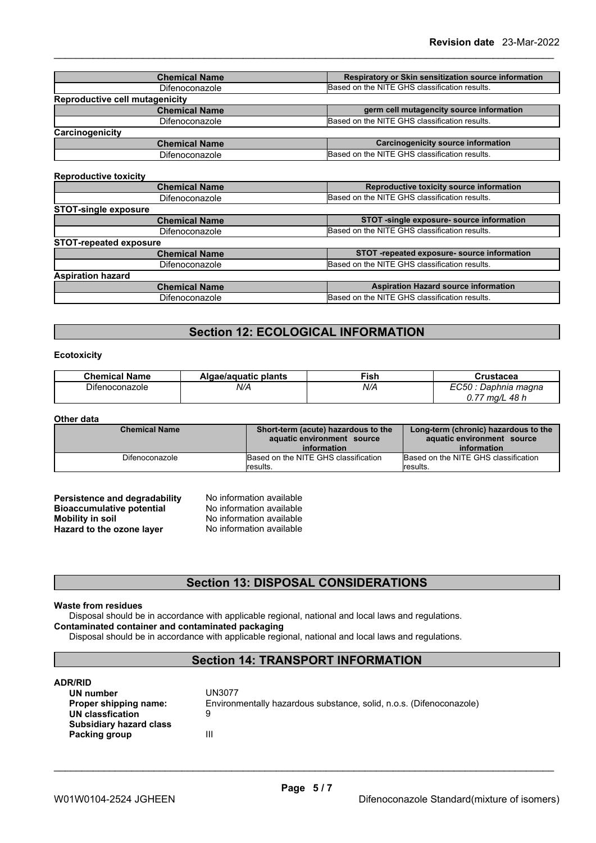| <b>Chemical Name</b>           | Respiratory or Skin sensitization source information |  |
|--------------------------------|------------------------------------------------------|--|
| Difenoconazole                 | Based on the NITE GHS classification results.        |  |
| Reproductive cell mutagenicity |                                                      |  |
| <b>Chemical Name</b>           | germ cell mutagencity source information             |  |
| Difenoconazole                 | Based on the NITE GHS classification results.        |  |
| Carcinogenicity                |                                                      |  |
| <b>Chemical Name</b>           | Carcinogenicity source information                   |  |
| Difenoconazole                 | Based on the NITE GHS classification results.        |  |

#### **Reproductive toxicity**

| <b>NEPLOYATIVE COVIDITA</b>   |                                               |
|-------------------------------|-----------------------------------------------|
| <b>Chemical Name</b>          | Reproductive toxicity source information      |
| <b>Difenoconazole</b>         | Based on the NITE GHS classification results. |
| <b>STOT-single exposure</b>   |                                               |
| <b>Chemical Name</b>          | STOT -single exposure- source information     |
| Difenoconazole                | Based on the NITE GHS classification results. |
| <b>STOT-repeated exposure</b> |                                               |
| <b>Chemical Name</b>          | STOT -repeated exposure- source information   |
| Difenoconazole                | Based on the NITE GHS classification results. |
| <b>Aspiration hazard</b>      |                                               |
| <b>Chemical Name</b>          | <b>Aspiration Hazard source information</b>   |
| Difenoconazole                | Based on the NITE GHS classification results. |

### **Section 12: ECOLOGICAL INFORMATION**

#### **Ecotoxicity**

| <b>Chemical Name</b> | Algae/aguatic plants | $\overline{\phantom{a}}$ ish | Crustacea             |
|----------------------|----------------------|------------------------------|-----------------------|
| Difenoconazole       | N/A                  | N/A                          | EC50<br>Daphnia magna |
|                      |                      |                              | 0.77<br>48 h<br>ma/L  |

#### **Other data**

| <b>Chemical Name</b>  | Short-term (acute) hazardous to the<br>aquatic environment source<br>information | Long-term (chronic) hazardous to the<br>aquatic environment source<br>information |
|-----------------------|----------------------------------------------------------------------------------|-----------------------------------------------------------------------------------|
| <b>Difenoconazole</b> | Based on the NITE GHS classification<br>results.                                 | Based on the NITE GHS classification<br>Iresults.                                 |

| Persistence and degradability    | No information available |  |
|----------------------------------|--------------------------|--|
| <b>Bioaccumulative potential</b> | No information available |  |
| Mobility in soil                 | No information available |  |
| Hazard to the ozone layer        | No information available |  |

### **Section 13: DISPOSAL CONSIDERATIONS**

#### **Waste from residues**

Disposal should be in accordance with applicable regional, national and local laws and regulations. **Contaminated container and contaminated packaging**

Disposal should be in accordance with applicable regional, national and local laws and regulations.

### **Section 14: TRANSPORT INFORMATION**

#### **ADR/RID**

| UN number               | UN3077                                                              |  |
|-------------------------|---------------------------------------------------------------------|--|
| Proper shipping name:   | Environmentally hazardous substance, solid, n.o.s. (Difenoconazole) |  |
| UN classfication        |                                                                     |  |
| Subsidiary hazard class |                                                                     |  |
| Packing group           | Ш                                                                   |  |
|                         |                                                                     |  |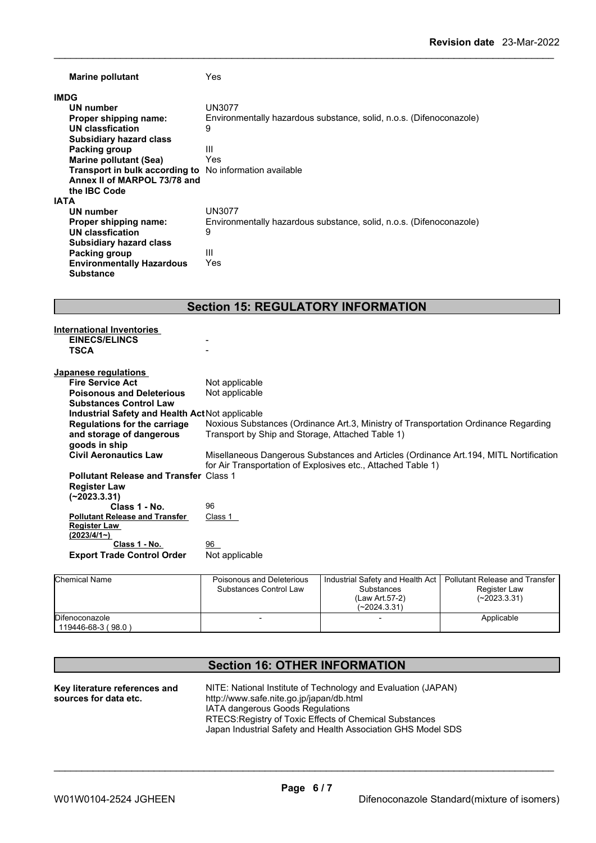| <b>Marine pollutant</b>                             | Yes                                                                 |
|-----------------------------------------------------|---------------------------------------------------------------------|
| <b>IMDG</b>                                         |                                                                     |
| UN number                                           | UN3077                                                              |
| Proper shipping name:                               | Environmentally hazardous substance, solid, n.o.s. (Difenoconazole) |
| UN classfication                                    | 9                                                                   |
| <b>Subsidiary hazard class</b>                      |                                                                     |
| Packing group                                       | Ш                                                                   |
| Marine pollutant (Sea)                              | Yes                                                                 |
| Transport in bulk according to                      | No information available                                            |
| Annex II of MARPOL 73/78 and<br>the <b>IBC</b> Code |                                                                     |
| <b>IATA</b>                                         |                                                                     |
| UN number                                           | UN3077                                                              |
| Proper shipping name:                               | Environmentally hazardous substance, solid, n.o.s. (Difenoconazole) |
| UN classfication                                    | 9                                                                   |
| <b>Subsidiary hazard class</b>                      |                                                                     |
| Packing group                                       | Ш                                                                   |
| <b>Environmentally Hazardous</b>                    | Yes                                                                 |
| <b>Substance</b>                                    |                                                                     |

### **Section 15: REGULATORY INFORMATION**

| <b>International Inventories</b>                |                                                                                        |
|-------------------------------------------------|----------------------------------------------------------------------------------------|
| <b>EINECS/ELINCS</b>                            |                                                                                        |
| <b>TSCA</b>                                     |                                                                                        |
|                                                 |                                                                                        |
| Japanese regulations                            |                                                                                        |
| <b>Fire Service Act</b>                         | Not applicable                                                                         |
| <b>Poisonous and Deleterious</b>                | Not applicable                                                                         |
| <b>Substances Control Law</b>                   |                                                                                        |
| Industrial Safety and Health Act Not applicable |                                                                                        |
| Regulations for the carriage                    | Noxious Substances (Ordinance Art.3, Ministry of Transportation Ordinance Regarding    |
| and storage of dangerous                        | Transport by Ship and Storage, Attached Table 1)                                       |
| goods in ship                                   |                                                                                        |
| <b>Civil Aeronautics Law</b>                    | Misellaneous Dangerous Substances and Articles (Ordinance Art. 194, MITL Nortification |
|                                                 | for Air Transportation of Explosives etc., Attached Table 1)                           |
| <b>Pollutant Release and Transfer Class 1</b>   |                                                                                        |
| <b>Register Law</b>                             |                                                                                        |
| $(-2023.3.31)$                                  |                                                                                        |
| Class 1 - No.                                   | 96                                                                                     |
| <b>Pollutant Release and Transfer</b>           | Class 1                                                                                |
| <b>Register Law</b>                             |                                                                                        |
| $(2023/4/1-)$                                   |                                                                                        |
| Class 1 - No.                                   | 96                                                                                     |
| <b>Export Trade Control Order</b>               | Not applicable                                                                         |
|                                                 |                                                                                        |

| Chemical Name                        | Poisonous and Deleterious<br>Substances Control Law | Industrial Safety and Health Act   Pollutant Release and Transfer<br>Substances<br>(Law Art.57-2)<br>(~2024.3.31) | Register Law<br>$(-2023.3.31)$ |
|--------------------------------------|-----------------------------------------------------|-------------------------------------------------------------------------------------------------------------------|--------------------------------|
| Difenoconazole<br>119446-68-3 (98.0) |                                                     |                                                                                                                   | Applicable                     |

## **Section 16: OTHER INFORMATION**

| Key literature references and | NITE: National Institute of Technology and Evaluation (JAPAN) |
|-------------------------------|---------------------------------------------------------------|
| sources for data etc.         | http://www.safe.nite.go.jp/japan/db.html                      |
|                               | IATA dangerous Goods Regulations                              |
|                               | RTECS: Registry of Toxic Effects of Chemical Substances       |
|                               | Japan Industrial Safety and Health Association GHS Model SDS  |